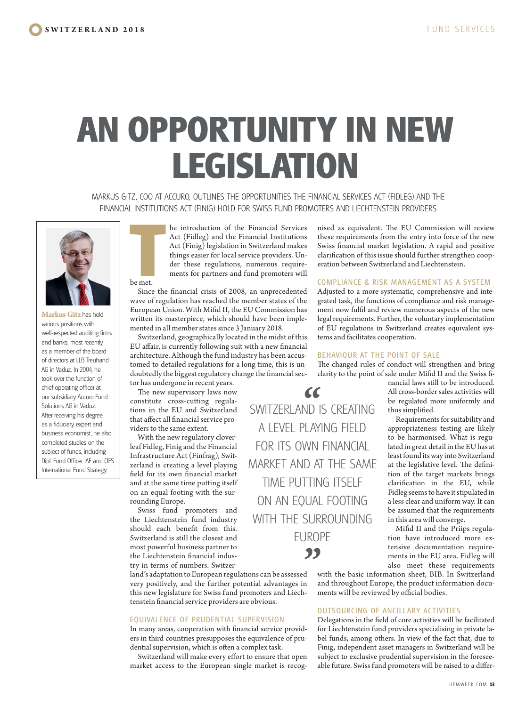# **AN OPPORTUNITY IN NEW LEGISLATION**

MARKUS GITZ, COO AT ACCURO, OUTLINES THE OPPORTUNITIES THE FINANCIAL SERVICES ACT (FIDLEG) AND THE FINANCIAL INSTITUTIONS ACT (FINIG) HOLD FOR SWISS FUND PROMOTERS AND LIECHTENSTEIN PROVIDERS



be met.

**Markus Gitz** has held various positions with well-respected auditing firms and banks, most recently as a member of the board of directors at LLB Treuhand AG in Vaduz. In 2004, he took over the function of chief operating officer at our subsidiary Accuro Fund Solutions AG in Vaduz. After receiving his degree as a fiduciary expert and business economist, he also completed studies on the subject of funds, including Dipl. Fund Officer IAF and CIFS International Fund Strategy.

**The Manufacture of the Manufacture of the Contract of the Contract of the Contract of the Contract of the Contract of the Contract of the Contract of the Contract of the Contract of the Contract of the Contract of the Con** he introduction of the Financial Services Act (Fidleg) and the Financial Institutions Act (Finig) legislation in Switzerland makes things easier for local service providers. Under these regulations, numerous requirements for partners and fund promoters will

Since the financial crisis of 2008, an unprecedented wave of regulation has reached the member states of the European Union. With Mifid II, the EU Commission has written its masterpiece, which should have been implemented in all member states since 3 January 2018.

Switzerland, geographically located in the midst of this EU affair, is currently following suit with a new financial architecture. Although the fund industry has been accustomed to detailed regulations for a long time, this is undoubtedly the biggest regulatory change the financial sector has undergone in recent years.

The new supervisory laws now constitute cross-cutting regulations in the EU and Switzerland that affect all financial service providers to the same extent.

With the new regulatory cloverleaf Fidleg, Finig and the Financial Infrastructure Act (Finfrag), Switzerland is creating a level playing field for its own financial market and at the same time putting itself on an equal footing with the surrounding Europe.

Swiss fund promoters and the Liechtenstein fund industry should each benefit from this. Switzerland is still the closest and most powerful business partner to the Liechtenstein financial industry in terms of numbers. Switzer-

land's adaptation to European regulations can be assessed very positively, and the further potential advantages in this new legislature for Swiss fund promoters and Liechtenstein financial service providers are obvious.

# EQUIVALENCE OF PRUDENTIAL SUPERVISION

In many areas, cooperation with financial service providers in third countries presupposes the equivalence of prudential supervision, which is often a complex task.

Switzerland will make every effort to ensure that open market access to the European single market is recognised as equivalent. The EU Commission will review these requirements from the entry into force of the new Swiss financial market legislation. A rapid and positive clarification of this issue should further strengthen cooperation between Switzerland and Liechtenstein.

#### COMPLIANCE & RISK MANAGEMENT AS A SYSTEM

Adjusted to a more systematic, comprehensive and integrated task, the functions of compliance and risk management now fulfil and review numerous aspects of the new legal requirements. Further, the voluntary implementation of EU regulations in Switzerland creates equivalent systems and facilitates cooperation.

#### BEHAVIOUR AT THE POINT OF SALE

SWITZERLAND IS CREATING

 $\epsilon$ 

A LEVEL PLAYING FIELD FOR ITS OWN FINANCIAL

MARKET AND AT THE SAME

TIME PUTTING ITSELF ON AN EQUAL FOOTING

WITH THE SURROUNDING

EUROPE

"

The changed rules of conduct will strengthen and bring clarity to the point of sale under Mifid II and the Swiss fi-

nancial laws still to be introduced. All cross-border sales activities will be regulated more uniformly and thus simplified.

Requirements for suitability and appropriateness testing are likely to be harmonised. What is regulated in great detail in the EU has at least found its way into Switzerland at the legislative level. The definition of the target markets brings clarification in the EU, while Fidleg seems to have it stipulated in a less clear and uniform way. It can be assumed that the requirements in this area will converge.

Mifid II and the Priips regulation have introduced more extensive documentation requirements in the EU area. Fidleg will also meet these requirements

with the basic information sheet, BIB. In Switzerland and throughout Europe, the product information documents will be reviewed by official bodies.

# OUTSOURCING OF ANCILLARY ACTIVITIES

Delegations in the field of core activities will be facilitated for Liechtenstein fund providers specialising in private label funds, among others. In view of the fact that, due to Finig, independent asset managers in Switzerland will be subject to exclusive prudential supervision in the foreseeable future. Swiss fund promoters will be raised to a differ-

#### HFMWEEK.COM **13**